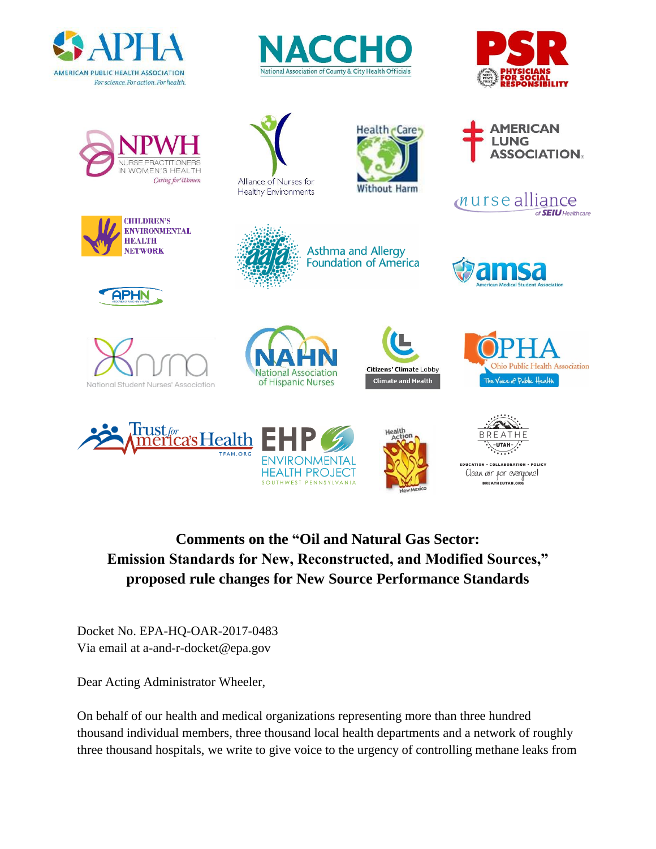









APHN



Alliance of Nurses for **Healthy Environments** 



**Asthma and Allergy** 

**Foundation of America** 





















EDUCATION - COLLABORATION - POLICY Clean air for everyone! BREATHEUTAH.ORG

**Comments on the "Oil and Natural Gas Sector: Emission Standards for New, Reconstructed, and Modified Sources," proposed rule changes for New Source Performance Standards**

SOUTHWEST PENNSYLVANIA

Docket No. EPA-HQ-OAR-2017-0483 Via email at a-and-r-docket@epa.gov

Dear Acting Administrator Wheeler,

On behalf of our health and medical organizations representing more than three hundred thousand individual members, three thousand local health departments and a network of roughly three thousand hospitals, we write to give voice to the urgency of controlling methane leaks from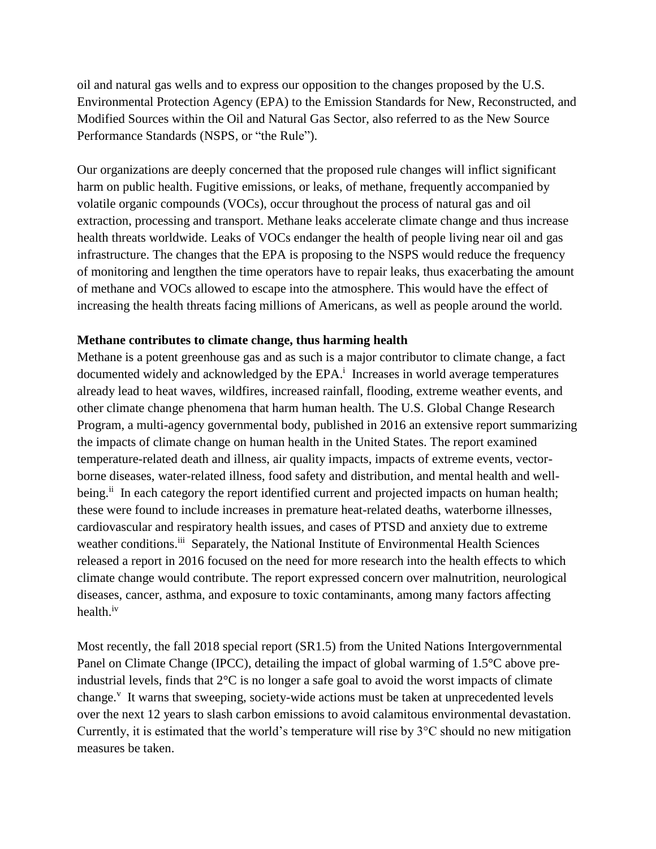oil and natural gas wells and to express our opposition to the changes proposed by the U.S. Environmental Protection Agency (EPA) to the Emission Standards for New, Reconstructed, and Modified Sources within the Oil and Natural Gas Sector, also referred to as the New Source Performance Standards (NSPS, or "the Rule").

Our organizations are deeply concerned that the proposed rule changes will inflict significant harm on public health. Fugitive emissions, or leaks, of methane, frequently accompanied by volatile organic compounds (VOCs), occur throughout the process of natural gas and oil extraction, processing and transport. Methane leaks accelerate climate change and thus increase health threats worldwide. Leaks of VOCs endanger the health of people living near oil and gas infrastructure. The changes that the EPA is proposing to the NSPS would reduce the frequency of monitoring and lengthen the time operators have to repair leaks, thus exacerbating the amount of methane and VOCs allowed to escape into the atmosphere. This would have the effect of increasing the health threats facing millions of Americans, as well as people around the world.

### **Methane contributes to climate change, thus harming health**

Methane is a potent greenhouse gas and as such is a major contributor to climate change, a fact documented widely and acknowledged by the EPA.<sup>i</sup> Increases in world average temperatures already lead to heat waves, wildfires, increased rainfall, flooding, extreme weather events, and other climate change phenomena that harm human health. The U.S. Global Change Research Program, a multi-agency governmental body, published in 2016 an extensive report summarizing the impacts of climate change on human health in the United States. The report examined temperature-related death and illness, air quality impacts, impacts of extreme events, vectorborne diseases, water-related illness, food safety and distribution, and mental health and wellbeing.<sup>ii</sup> In each category the report identified current and projected impacts on human health; these were found to include increases in premature heat-related deaths, waterborne illnesses, cardiovascular and respiratory health issues, and cases of PTSD and anxiety due to extreme weather conditions.<sup>iii</sup> Separately, the National Institute of Environmental Health Sciences released a report in 2016 focused on the need for more research into the health effects to which climate change would contribute. The report expressed concern over malnutrition, neurological diseases, cancer, asthma, and exposure to toxic contaminants, among many factors affecting health.<sup>iv</sup>

Most recently, the fall 2018 special report (SR1.5) from the United Nations Intergovernmental Panel on Climate Change (IPCC), detailing the impact of global warming of 1.5°C above preindustrial levels, finds that 2°C is no longer a safe goal to avoid the worst impacts of climate change.<sup>v</sup> It warns that sweeping, society-wide actions must be taken at unprecedented levels over the next 12 years to slash carbon emissions to avoid calamitous environmental devastation. Currently, it is estimated that the world's temperature will rise by 3°C should no new mitigation measures be taken.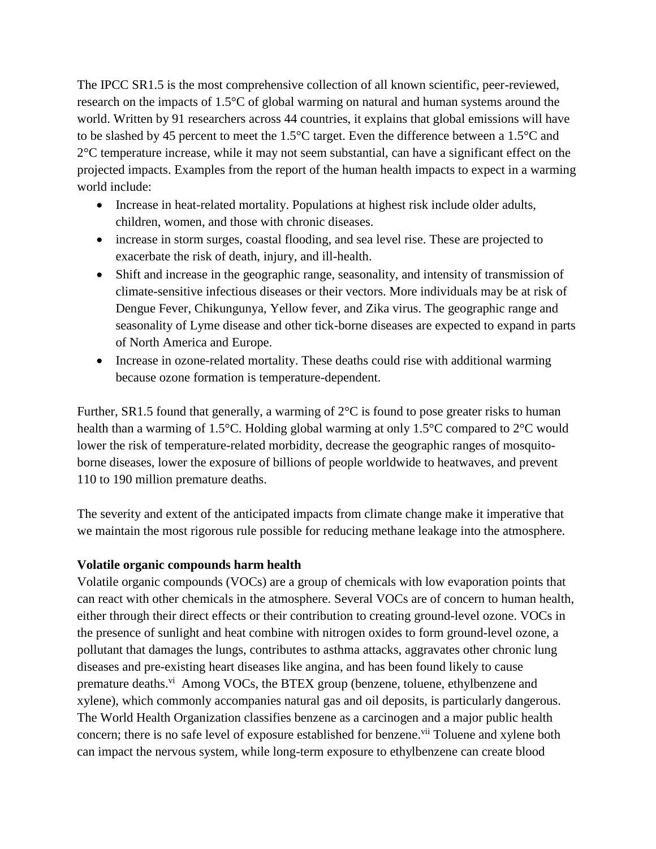The IPCC SR1.5 is the most comprehensive collection of all known scientific, peer-reviewed, research on the impacts of 1.5°C of global warming on natural and human systems around the world. Written by 91 researchers across 44 countries, it explains that global emissions will have to be slashed by 45 percent to meet the 1.5°C target. Even the difference between a 1.5°C and 2°C temperature increase, while it may not seem substantial, can have a significant effect on the projected impacts. Examples from the report of the human health impacts to expect in a warming world include:

- Increase in heat-related mortality. Populations at highest risk include older adults, children, women, and those with chronic diseases.
- increase in storm surges, coastal flooding, and sea level rise. These are projected to exacerbate the risk of death, injury, and ill-health.
- Shift and increase in the geographic range, seasonality, and intensity of transmission of climate-sensitive infectious diseases or their vectors. More individuals may be at risk of Dengue Fever, Chikungunya, Yellow fever, and Zika virus. The geographic range and seasonality of Lyme disease and other tick-borne diseases are expected to expand in parts of North America and Europe.
- Increase in ozone-related mortality. These deaths could rise with additional warming because ozone formation is temperature-dependent.

Further, SR1.5 found that generally, a warming of  $2^{\circ}C$  is found to pose greater risks to human health than a warming of 1.5°C. Holding global warming at only 1.5°C compared to 2°C would lower the risk of temperature-related morbidity, decrease the geographic ranges of mosquitoborne diseases, lower the exposure of billions of people worldwide to heatwaves, and prevent 110 to 190 million premature deaths.

The severity and extent of the anticipated impacts from climate change make it imperative that we maintain the most rigorous rule possible for reducing methane leakage into the atmosphere.

# **Volatile organic compounds harm health**

Volatile organic compounds (VOCs) are a group of chemicals with low evaporation points that can react with other chemicals in the atmosphere. Several VOCs are of concern to human health, either through their direct effects or their contribution to creating ground-level ozone. VOCs in the presence of sunlight and heat combine with nitrogen oxides to form ground-level ozone, a pollutant that damages the lungs, contributes to asthma attacks, aggravates other chronic lung diseases and pre-existing heart diseases like angina, and has been found likely to cause premature deaths.<sup>vi</sup> Among VOCs, the BTEX group (benzene, toluene, ethylbenzene and xylene), which commonly accompanies natural gas and oil deposits, is particularly dangerous. The World Health Organization classifies benzene as a carcinogen and a major public health concern; there is no safe level of exposure established for benzene.<sup>vii</sup> Toluene and xylene both can impact the nervous system, while long-term exposure to ethylbenzene can create blood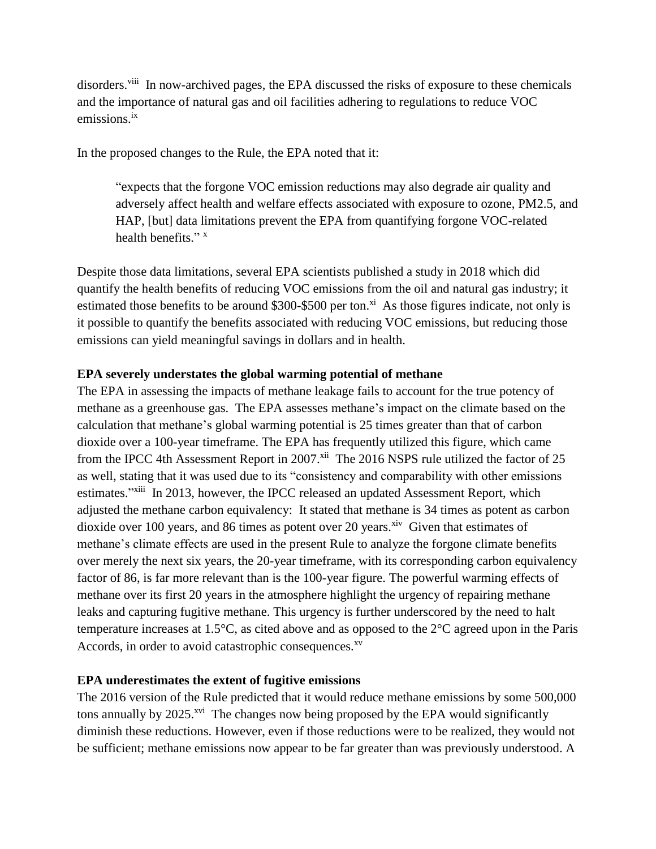disorders.<sup>viii</sup> In now-archived pages, the EPA discussed the risks of exposure to these chemicals and the importance of natural gas and oil facilities adhering to regulations to reduce VOC emissions.<sup>ix</sup>

In the proposed changes to the Rule, the EPA noted that it:

"expects that the forgone VOC emission reductions may also degrade air quality and adversely affect health and welfare effects associated with exposure to ozone, PM2.5, and HAP, [but] data limitations prevent the EPA from quantifying forgone VOC-related health benefits."<sup>x</sup>

Despite those data limitations, several EPA scientists published a study in 2018 which did quantify the health benefits of reducing VOC emissions from the oil and natural gas industry; it estimated those benefits to be around \$300-\$500 per ton.<sup>xi</sup> As those figures indicate, not only is it possible to quantify the benefits associated with reducing VOC emissions, but reducing those emissions can yield meaningful savings in dollars and in health.

### **EPA severely understates the global warming potential of methane**

The EPA in assessing the impacts of methane leakage fails to account for the true potency of methane as a greenhouse gas. The EPA assesses methane's impact on the climate based on the calculation that methane's global warming potential is 25 times greater than that of carbon dioxide over a 100-year timeframe. The EPA has frequently utilized this figure, which came from the IPCC 4th Assessment Report in 2007.<sup>xii</sup> The 2016 NSPS rule utilized the factor of 25 as well, stating that it was used due to its "consistency and comparability with other emissions estimates."<sup>xiii</sup> In 2013, however, the IPCC released an updated Assessment Report, which adjusted the methane carbon equivalency: It stated that methane is 34 times as potent as carbon dioxide over 100 years, and 86 times as potent over 20 years. $x^{i}$  Given that estimates of methane's climate effects are used in the present Rule to analyze the forgone climate benefits over merely the next six years, the 20-year timeframe, with its corresponding carbon equivalency factor of 86, is far more relevant than is the 100-year figure. The powerful warming effects of methane over its first 20 years in the atmosphere highlight the urgency of repairing methane leaks and capturing fugitive methane. This urgency is further underscored by the need to halt temperature increases at 1.5°C, as cited above and as opposed to the 2°C agreed upon in the Paris Accords, in order to avoid catastrophic consequences.<sup>xv</sup>

#### **EPA underestimates the extent of fugitive emissions**

The 2016 version of the Rule predicted that it would reduce methane emissions by some 500,000 tons annually by 2025.<sup>xvi</sup> The changes now being proposed by the EPA would significantly diminish these reductions. However, even if those reductions were to be realized, they would not be sufficient; methane emissions now appear to be far greater than was previously understood. A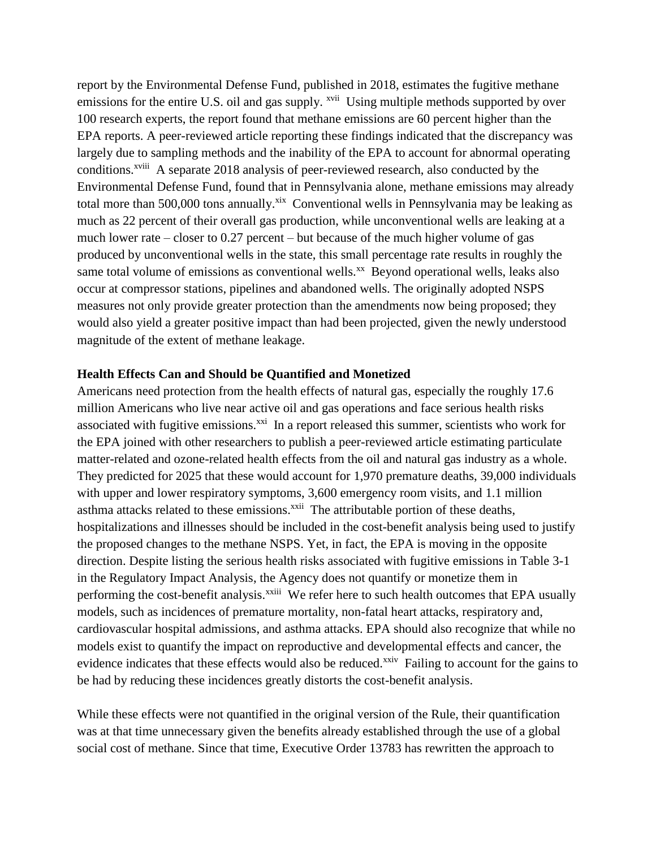report by the Environmental Defense Fund, published in 2018, estimates the fugitive methane emissions for the entire U.S. oil and gas supply. <sup>xvii</sup> Using multiple methods supported by over 100 research experts, the report found that methane emissions are 60 percent higher than the EPA reports. A peer-reviewed article reporting these findings indicated that the discrepancy was largely due to sampling methods and the inability of the EPA to account for abnormal operating conditions.<sup>xviii</sup> A separate 2018 analysis of peer-reviewed research, also conducted by the Environmental Defense Fund, found that in Pennsylvania alone, methane emissions may already total more than 500,000 tons annually.<sup>xix</sup> Conventional wells in Pennsylvania may be leaking as much as 22 percent of their overall gas production, while unconventional wells are leaking at a much lower rate – closer to 0.27 percent – but because of the much higher volume of gas produced by unconventional wells in the state, this small percentage rate results in roughly the same total volume of emissions as conventional wells.<sup>xx</sup> Beyond operational wells, leaks also occur at compressor stations, pipelines and abandoned wells. The originally adopted NSPS measures not only provide greater protection than the amendments now being proposed; they would also yield a greater positive impact than had been projected, given the newly understood magnitude of the extent of methane leakage.

### **Health Effects Can and Should be Quantified and Monetized**

Americans need protection from the health effects of natural gas, especially the roughly 17.6 million Americans who live near active oil and gas operations and face serious health risks associated with fugitive emissions. $^{xxi}$  In a report released this summer, scientists who work for the EPA joined with other researchers to publish a peer-reviewed article estimating particulate matter-related and ozone-related health effects from the oil and natural gas industry as a whole. They predicted for 2025 that these would account for 1,970 premature deaths, 39,000 individuals with upper and lower respiratory symptoms, 3,600 emergency room visits, and 1.1 million asthma attacks related to these emissions.<sup>xxii</sup> The attributable portion of these deaths, hospitalizations and illnesses should be included in the cost-benefit analysis being used to justify the proposed changes to the methane NSPS. Yet, in fact, the EPA is moving in the opposite direction. Despite listing the serious health risks associated with fugitive emissions in Table 3-1 in the Regulatory Impact Analysis, the Agency does not quantify or monetize them in performing the cost-benefit analysis.<sup>xxiii</sup> We refer here to such health outcomes that EPA usually models, such as incidences of premature mortality, non-fatal heart attacks, respiratory and, cardiovascular hospital admissions, and asthma attacks. EPA should also recognize that while no models exist to quantify the impact on reproductive and developmental effects and cancer, the evidence indicates that these effects would also be reduced.<sup>xxiv</sup> Failing to account for the gains to be had by reducing these incidences greatly distorts the cost-benefit analysis.

While these effects were not quantified in the original version of the Rule, their quantification was at that time unnecessary given the benefits already established through the use of a global social cost of methane. Since that time, Executive Order 13783 has rewritten the approach to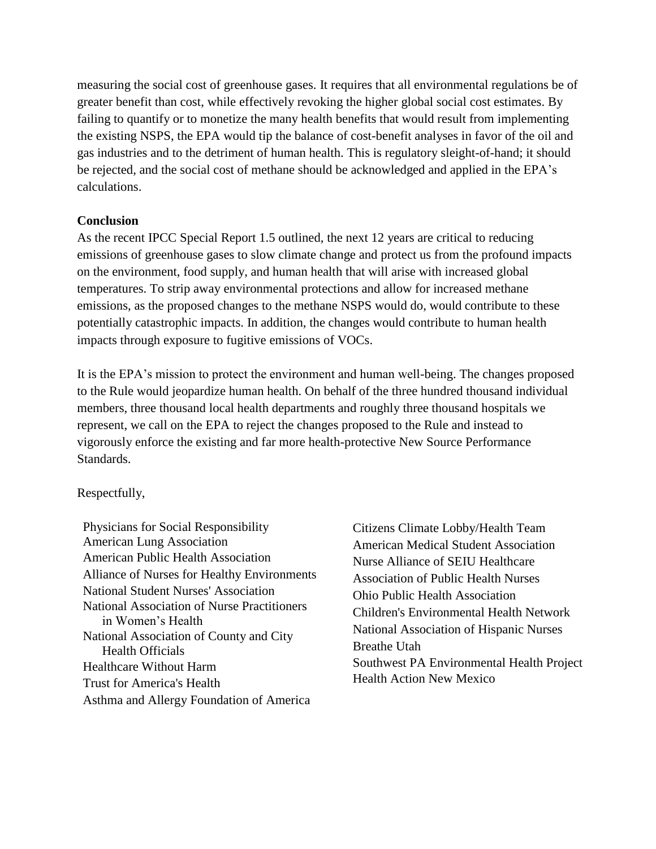measuring the social cost of greenhouse gases. It requires that all environmental regulations be of greater benefit than cost, while effectively revoking the higher global social cost estimates. By failing to quantify or to monetize the many health benefits that would result from implementing the existing NSPS, the EPA would tip the balance of cost-benefit analyses in favor of the oil and gas industries and to the detriment of human health. This is regulatory sleight-of-hand; it should be rejected, and the social cost of methane should be acknowledged and applied in the EPA's calculations.

# **Conclusion**

As the recent IPCC Special Report 1.5 outlined, the next 12 years are critical to reducing emissions of greenhouse gases to slow climate change and protect us from the profound impacts on the environment, food supply, and human health that will arise with increased global temperatures. To strip away environmental protections and allow for increased methane emissions, as the proposed changes to the methane NSPS would do, would contribute to these potentially catastrophic impacts. In addition, the changes would contribute to human health impacts through exposure to fugitive emissions of VOCs.

It is the EPA's mission to protect the environment and human well-being. The changes proposed to the Rule would jeopardize human health. On behalf of the three hundred thousand individual members, three thousand local health departments and roughly three thousand hospitals we represent, we call on the EPA to reject the changes proposed to the Rule and instead to vigorously enforce the existing and far more health-protective New Source Performance Standards.

# Respectfully,

Physicians for Social Responsibility American Lung Association American Public Health Association Alliance of Nurses for Healthy Environments National Student Nurses' Association National Association of Nurse Practitioners in Women's Health National Association of County and City Health Officials Healthcare Without Harm Trust for America's Health Asthma and Allergy Foundation of America

Citizens Climate Lobby/Health Team American Medical Student Association Nurse Alliance of SEIU Healthcare Association of Public Health Nurses Ohio Public Health Association Children's Environmental Health Network National Association of Hispanic Nurses Breathe Utah Southwest PA Environmental Health Project Health Action New Mexico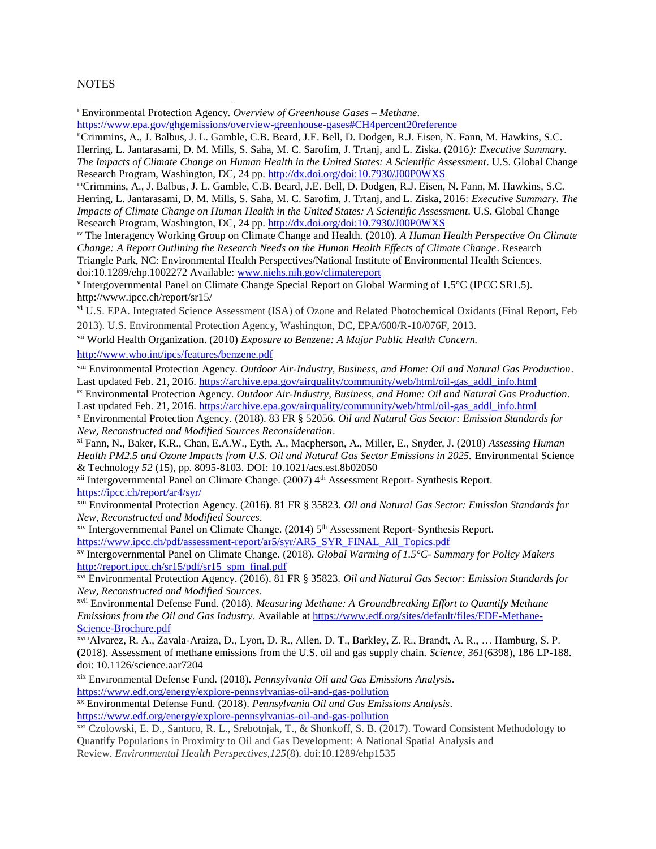#### **NOTES**

<sup>i</sup> Environmental Protection Agency. *Overview of Greenhouse Gases – Methane*.

[https://www.epa.gov/ghgemissions/overview-greenhouse-gases#CH4percent20reference](https://www.epa.gov/ghgemissions/overview-greenhouse-gases#CH4%20reference)

iiCrimmins, A., J. Balbus, J. L. Gamble, C.B. Beard, J.E. Bell, D. Dodgen, R.J. Eisen, N. Fann, M. Hawkins, S.C. Herring, L. Jantarasami, D. M. Mills, S. Saha, M. C. Sarofim, J. Trtanj, and L. Ziska. (2016*): Executive Summary. The Impacts of Climate Change on Human Health in the United States: A Scientific Assessment*. U.S. Global Change Research Program, Washington, DC, 24 pp.<http://dx.doi.org/doi:10.7930/J00P0WXS>

iiiCrimmins, A., J. Balbus, J. L. Gamble, C.B. Beard, J.E. Bell, D. Dodgen, R.J. Eisen, N. Fann, M. Hawkins, S.C. Herring, L. Jantarasami, D. M. Mills, S. Saha, M. C. Sarofim, J. Trtanj, and L. Ziska, 2016: *Executive Summary. The Impacts of Climate Change on Human Health in the United States: A Scientific Assessment*. U.S. Global Change Research Program, Washington, DC, 24 pp.<http://dx.doi.org/doi:10.7930/J00P0WXS>

iv The Interagency Working Group on Climate Change and Health. (2010). *A Human Health Perspective On Climate Change: A Report Outlining the Research Needs on the Human Health Effects of Climate Change*. Research Triangle Park, NC: Environmental Health Perspectives/National Institute of Environmental Health Sciences. doi:10.1289/ehp.1002272 Available: [www.niehs.nih.gov/climatereport](http://www.niehs.nih.gov/climatereport)

v Intergovernmental Panel on Climate Change Special Report on Global Warming of 1.5°C (IPCC SR1.5). http://www.ipcc.ch/report/sr15/

<sup>vi</sup> U.S. EPA. Integrated Science Assessment (ISA) of Ozone and Related Photochemical Oxidants (Final Report, Feb

2013). U.S. Environmental Protection Agency, Washington, DC, EPA/600/R-10/076F, 2013.

vii World Health Organization. (2010) *Exposure to Benzene: A Major Public Health Concern.*

<http://www.who.int/ipcs/features/benzene.pdf>

viii Environmental Protection Agency. *Outdoor Air-Industry, Business, and Home: Oil and Natural Gas Production*. Last updated Feb. 21, 2016. [https://archive.epa.gov/airquality/community/web/html/oil-gas\\_addl\\_info.html](https://archive.epa.gov/airquality/community/web/html/oil-gas_addl_info.html)

ix Environmental Protection Agency. *Outdoor Air-Industry, Business, and Home: Oil and Natural Gas Production*. Last updated Feb. 21, 2016. [https://archive.epa.gov/airquality/community/web/html/oil-gas\\_addl\\_info.html](https://archive.epa.gov/airquality/community/web/html/oil-gas_addl_info.html)

<sup>x</sup> Environmental Protection Agency. (2018). 83 FR § 52056. *Oil and Natural Gas Sector: Emission Standards for New, Reconstructed and Modified Sources Reconsideration*.

xi Fann, N., Baker, K.R., Chan, E.A.W., Eyth, A., Macpherson, A., Miller, E., Snyder, J. (2018) *Assessing Human*  Health PM2.5 and Ozone Impacts from U.S. Oil and Natural Gas Sector Emissions in 2025. Environmental Science & Technology *52* (15), pp. 8095-8103. DOI: 10.1021/acs.est.8b02050

<sup>xii</sup> Intergovernmental Panel on Climate Change. (2007) 4<sup>th</sup> Assessment Report- Synthesis Report. <https://ipcc.ch/report/ar4/syr/>

xiii Environmental Protection Agency. (2016). 81 FR § 35823. *Oil and Natural Gas Sector: Emission Standards for New, Reconstructed and Modified Sources*.

xiv Intergovernmental Panel on Climate Change. (2014) 5<sup>th</sup> Assessment Report- Synthesis Report. [https://www.ipcc.ch/pdf/assessment-report/ar5/syr/AR5\\_SYR\\_FINAL\\_All\\_Topics.pdf](https://www.ipcc.ch/pdf/assessment-report/ar5/syr/AR5_SYR_FINAL_All_Topics.pdf)

xv Intergovernmental Panel on Climate Change*.* (2018). *Global Warming of 1.5°C- Summary for Policy Makers*  [http://report.ipcc.ch/sr15/pdf/sr15\\_spm\\_final.pdf](http://report.ipcc.ch/sr15/pdf/sr15_spm_final.pdf)

xvi Environmental Protection Agency. (2016). 81 FR § 35823. *Oil and Natural Gas Sector: Emission Standards for New, Reconstructed and Modified Sources*.

xvii Environmental Defense Fund. (2018). *Measuring Methane: A Groundbreaking Effort to Quantify Methane Emissions from the Oil and Gas Industry*. Available at [https://www.edf.org/sites/default/files/EDF-Methane-](https://www.edf.org/sites/default/files/EDF-Methane-Science-Brochure.pdf)[Science-Brochure.pdf](https://www.edf.org/sites/default/files/EDF-Methane-Science-Brochure.pdf)

xviiiAlvarez, R. A., Zavala-Araiza, D., Lyon, D. R., Allen, D. T., Barkley, Z. R., Brandt, A. R., … Hamburg, S. P. (2018). Assessment of methane emissions from the U.S. oil and gas supply chain. *Science*, *361*(6398), 186 LP-188. doi: 10.1126/science.aar7204

xix Environmental Defense Fund. (2018). *Pennsylvania Oil and Gas Emissions Analysis*. <https://www.edf.org/energy/explore-pennsylvanias-oil-and-gas-pollution>

xx Environmental Defense Fund. (2018). *Pennsylvania Oil and Gas Emissions Analysis*. <https://www.edf.org/energy/explore-pennsylvanias-oil-and-gas-pollution>

xxi Czolowski, E. D., Santoro, R. L., Srebotnjak, T., & Shonkoff, S. B. (2017). Toward Consistent Methodology to Quantify Populations in Proximity to Oil and Gas Development: A National Spatial Analysis and Review. *Environmental Health Perspectives,125*(8). doi:10.1289/ehp1535